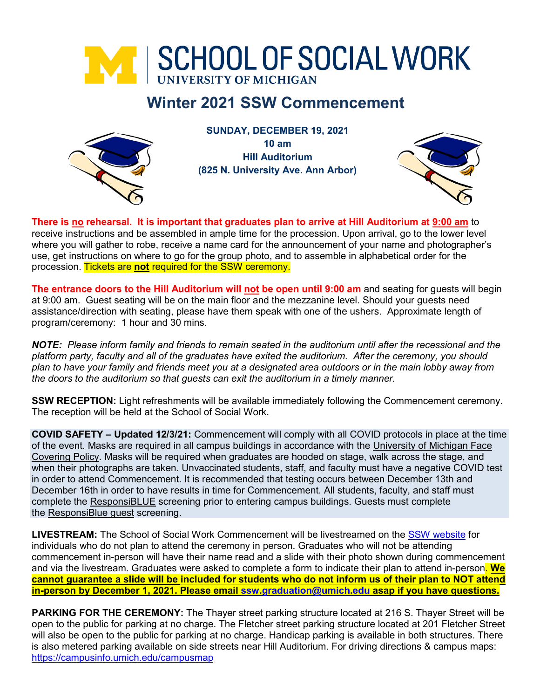

# **Winter 2021 SSW Commencement**



**SUNDAY, DECEMBER 19, 2021 10 am Hill Auditorium (825 N. University Ave. Ann Arbor)**



**There is no rehearsal. It is important that graduates plan to arrive at Hill Auditorium at 9:00 am** to receive instructions and be assembled in ample time for the procession. Upon arrival, go to the lower level where you will gather to robe, receive a name card for the announcement of your name and photographer's use, get instructions on where to go for the group photo, and to assemble in alphabetical order for the procession. Tickets are **not** required for the SSW ceremony.

**The entrance doors to the Hill Auditorium will not be open until 9:00 am** and seating for guests will begin at 9:00 am. Guest seating will be on the main floor and the mezzanine level. Should your guests need assistance/direction with seating, please have them speak with one of the ushers. Approximate length of program/ceremony: 1 hour and 30 mins.

*NOTE: Please inform family and friends to remain seated in the auditorium until after the recessional and the platform party, faculty and all of the graduates have exited the auditorium. After the ceremony, you should plan to have your family and friends meet you at a designated area outdoors or in the main lobby away from the doors to the auditorium so that guests can exit the auditorium in a timely manner.*

**SSW RECEPTION:** Light refreshments will be available immediately following the Commencement ceremony. The reception will be held at the School of Social Work.

**COVID SAFETY – Updated 12/3/21:** Commencement will comply with all COVID protocols in place at the time of the event. Masks are required in all campus buildings in accordance with the [University of Michigan Face](https://ehs.umich.edu/wp-content/uploads/2020/07/U-M-Face-Covering-Policy-for-COVID-19.pdf)  [Covering Policy.](https://ehs.umich.edu/wp-content/uploads/2020/07/U-M-Face-Covering-Policy-for-COVID-19.pdf) Masks will be required when graduates are hooded on stage, walk across the stage, and when their photographs are taken. Unvaccinated students, staff, and faculty must have a negative COVID test in order to attend Commencement. It is recommended that testing occurs between December 13th and December 16th in order to have results in time for Commencement. All students, faculty, and staff must complete the [ResponsiBLUE](https://responsiblue.umich.edu/home) screening prior to entering campus buildings. Guests must complete the [ResponsiBlue guest](https://umich.qualtrics.com/jfe/form/SV_3PminsH4aZnBWER) screening.

**LIVESTREAM:** The School of Social Work Commencement will be livestreamed on the [SSW website](https://ssw.umich.edu/) for individuals who do not plan to attend the ceremony in person. Graduates who will not be attending commencement in-person will have their name read and a slide with their photo shown during commencement and via the livestream. Graduates were asked to complete a form to indicate their plan to attend in-person. **We cannot guarantee a slide will be included for students who do not inform us of their plan to NOT attend in-person by December 1, 2021. Please email [ssw.graduation@umich.edu](mailto:ssw.graduation@umich.edu) asap if you have questions.**

**PARKING FOR THE CEREMONY:** The Thayer street parking structure located at 216 S. Thayer Street will be open to the public for parking at no charge. The Fletcher street parking structure located at 201 Fletcher Street will also be open to the public for parking at no charge. Handicap parking is available in both structures. There is also metered parking available on side streets near Hill Auditorium. For driving directions & campus maps: <https://campusinfo.umich.edu/campusmap>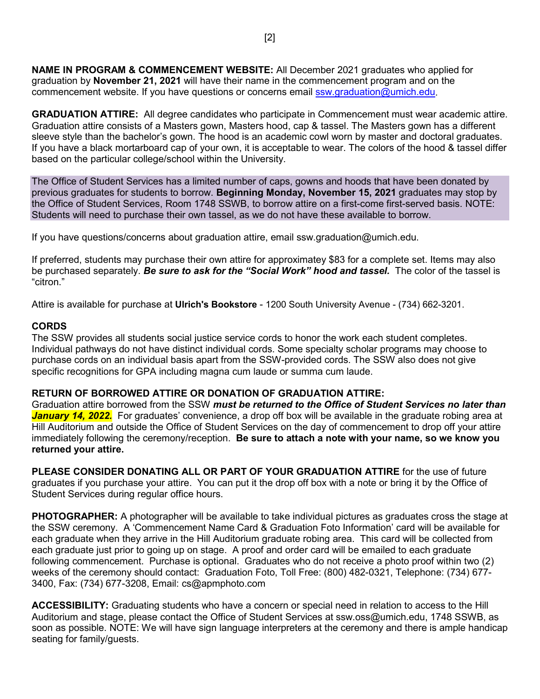**NAME IN PROGRAM & COMMENCEMENT WEBSITE:** All December 2021 graduates who applied for graduation by **November 21, 2021** will have their name in the commencement program and on the commencement website. If you have questions or concerns email [ssw.graduation@umich.edu.](mailto:ssw.graduation@umich.edu)

**GRADUATION ATTIRE:** All degree candidates who participate in Commencement must wear academic attire. Graduation attire consists of a Masters gown, Masters hood, cap & tassel. The Masters gown has a different sleeve style than the bachelor's gown. The hood is an academic cowl worn by master and doctoral graduates. If you have a black mortarboard cap of your own, it is acceptable to wear. The colors of the hood & tassel differ based on the particular college/school within the University.

The Office of Student Services has a limited number of caps, gowns and hoods that have been donated by previous graduates for students to borrow. **Beginning Monday, November 15, 2021** graduates may stop by the Office of Student Services, Room 1748 SSWB, to borrow attire on a first-come first-served basis. NOTE: Students will need to purchase their own tassel, as we do not have these available to borrow.

If you have questions/concerns about graduation attire, email ssw.graduation@umich.edu.

If preferred, students may purchase their own attire for approximatey \$83 for a complete set. Items may also be purchased separately. *Be sure to ask for the "Social Work" hood and tassel.* The color of the tassel is "citron."

Attire is available for purchase at **Ulrich's Bookstore** - 1200 South University Avenue - (734) 662-3201.

### **CORDS**

The SSW provides all students social justice service cords to honor the work each student completes. Individual pathways do not have distinct individual cords. Some specialty scholar programs may choose to purchase cords on an individual basis apart from the SSW-provided cords. The SSW also does not give specific recognitions for GPA including magna cum laude or summa cum laude.

### **RETURN OF BORROWED ATTIRE OR DONATION OF GRADUATION ATTIRE:**

Graduation attire borrowed from the SSW *must be returned to the Office of Student Services no later than January 14, 2022.* For graduates' convenience, a drop off box will be available in the graduate robing area at Hill Auditorium and outside the Office of Student Services on the day of commencement to drop off your attire immediately following the ceremony/reception. **Be sure to attach a note with your name, so we know you returned your attire.**

**PLEASE CONSIDER DONATING ALL OR PART OF YOUR GRADUATION ATTIRE** for the use of future graduates if you purchase your attire. You can put it the drop off box with a note or bring it by the Office of Student Services during regular office hours.

**PHOTOGRAPHER:** A photographer will be available to take individual pictures as graduates cross the stage at the SSW ceremony. A 'Commencement Name Card & Graduation Foto Information' card will be available for each graduate when they arrive in the Hill Auditorium graduate robing area. This card will be collected from each graduate just prior to going up on stage. A proof and order card will be emailed to each graduate following commencement. Purchase is optional. Graduates who do not receive a photo proof within two (2) weeks of the ceremony should contact: Graduation Foto, Toll Free: (800) 482-0321, Telephone: (734) 677- 3400, Fax: (734) 677-3208, Email: cs@apmphoto.com

**ACCESSIBILITY:** Graduating students who have a concern or special need in relation to access to the Hill Auditorium and stage, please contact the Office of Student Services at ssw.oss@umich.edu, 1748 SSWB, as soon as possible. NOTE: We will have sign language interpreters at the ceremony and there is ample handicap seating for family/guests.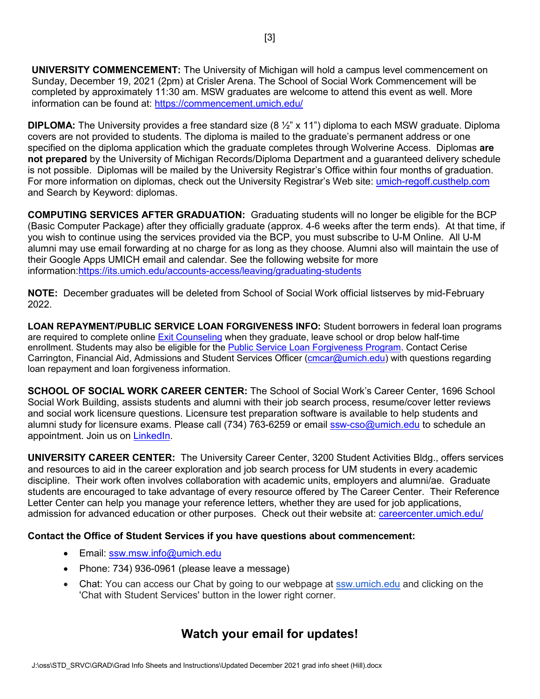**UNIVERSITY COMMENCEMENT:** The University of Michigan will hold a campus level commencement on Sunday, December 19, 2021 (2pm) at Crisler Arena. The School of Social Work Commencement will be completed by approximately 11:30 am. MSW graduates are welcome to attend this event as well. More information can be found at:<https://commencement.umich.edu/>

**DIPLOMA:** The University provides a free standard size (8 ½" x 11") diploma to each MSW graduate. Diploma covers are not provided to students. The diploma is mailed to the graduate's permanent address or one specified on the diploma application which the graduate completes through Wolverine Access. Diplomas **are not prepared** by the University of Michigan Records/Diploma Department and a guaranteed delivery schedule is not possible. Diplomas will be mailed by the University Registrar's Office within four months of graduation. For more information on diplomas, check out the University Registrar's Web site: [umich-regoff.custhelp.com](https://umich-regoff.custhelp.com/) and Search by Keyword: diplomas.

**COMPUTING SERVICES AFTER GRADUATION:** Graduating students will no longer be eligible for the BCP (Basic Computer Package) after they officially graduate (approx. 4-6 weeks after the term ends). At that time, if you wish to continue using the services provided via the BCP, you must subscribe to U-M Online. All U-M alumni may use email forwarding at no charge for as long as they choose. Alumni also will maintain the use of their Google Apps UMICH email and calendar. See the following website for more information[:https://its.umich.edu/accounts-access/leaving/graduating-students](https://its.umich.edu/accounts-access/leaving/graduating-students)

**NOTE:** December graduates will be deleted from School of Social Work official listserves by mid-February 2022.

**LOAN REPAYMENT/PUBLIC SERVICE LOAN FORGIVENESS INFO:** Student borrowers in federal loan programs are required to complete online [Exit Counseling](https://finaid.umich.edu/managing-your-aid/leaving-u-m/loan-exit-counseling) when they graduate, leave school or drop below half-time enrollment. Students may also be eligible for the [Public Service Loan Forgiveness Program.](https://studentaid.ed.gov/sa/repay-loans/forgiveness-cancellation/public-service) Contact Cerise Carrington, Financial Aid, Admissions and Student Services Officer [\(cmcar@umich.edu\)](mailto:cmcar@umich.edu) with questions regarding loan repayment and loan forgiveness information.

**SCHOOL OF SOCIAL WORK CAREER CENTER:** The School of Social Work's Career Center, 1696 School Social Work Building, assists students and alumni with their job search process, resume/cover letter reviews and social work licensure questions. Licensure test preparation software is available to help students and alumni study for licensure exams. Please call (734) 763-6259 or email [ssw-cso@umich.edu](mailto:ssw-cso@umich.edu) to schedule an appointment. Join us on [LinkedIn.](http://www.linkedin.com/groups?home=&gid=2118793&trk=anet_ug_hm)

**UNIVERSITY CAREER CENTER:** The University Career Center, 3200 Student Activities Bldg., offers services and resources to aid in the career exploration and job search process for UM students in every academic discipline. Their work often involves collaboration with academic units, employers and alumni/ae. Graduate students are encouraged to take advantage of every resource offered by The Career Center. Their Reference Letter Center can help you manage your reference letters, whether they are used for job applications, admission for advanced education or other purposes. Check out their website at: [careercenter.umich.edu/](http://www.careercenter.umich.edu/)

#### **Contact the Office of Student Services if you have questions about commencement:**

- Email: [ssw.msw.info@umich.edu](mailto:ssw.msw.info@umich.edu)
- Phone: 734) 936-0961 (please leave a message)
- Chat: You can access our Chat by going to our webpage at [ssw.umich.edu](http://ssw.umich.edu/) and clicking on the 'Chat with Student Services' button in the lower right corner.

## **Watch your email for updates!**